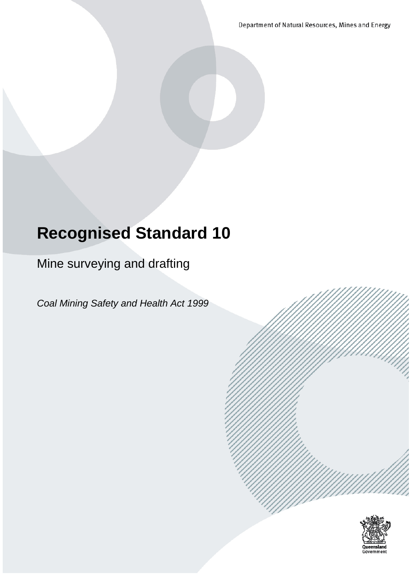Department of Natural Resources, Mines and Energy

# **Recognised Standard 10**

Mine surveying and drafting

*Coal Mining Safety and Health Act 1999*

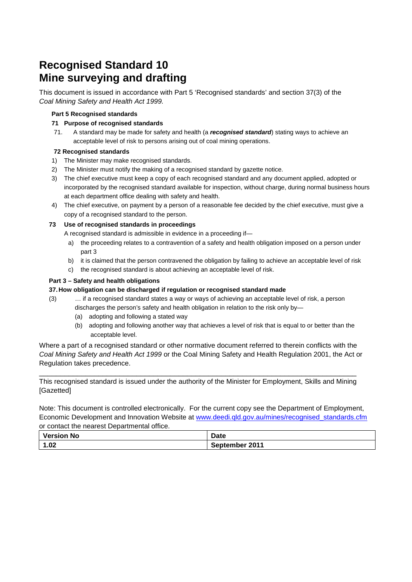# **Recognised Standard 10 Mine surveying and drafting**

This document is issued in accordance with Part 5 'Recognised standards' and section 37(3) of the *Coal Mining Safety and Health Act 1999.*

#### **Part 5 Recognised standards**

#### **71 Purpose of recognised standards**

71. A standard may be made for safety and health (a *recognised standard*) stating ways to achieve an acceptable level of risk to persons arising out of coal mining operations.

#### **72 Recognised standards**

- 1) The Minister may make recognised standards.
- 2) The Minister must notify the making of a recognised standard by gazette notice.
- 3) The chief executive must keep a copy of each recognised standard and any document applied, adopted or incorporated by the recognised standard available for inspection, without charge, during normal business hours at each department office dealing with safety and health.
- 4) The chief executive, on payment by a person of a reasonable fee decided by the chief executive, must give a copy of a recognised standard to the person.

#### **73 Use of recognised standards in proceedings**

A recognised standard is admissible in evidence in a proceeding if—

- a) the proceeding relates to a contravention of a safety and health obligation imposed on a person under part 3
- b) it is claimed that the person contravened the obligation by failing to achieve an acceptable level of risk
- c) the recognised standard is about achieving an acceptable level of risk.

#### **Part 3 – Safety and health obligations**

#### **37. How obligation can be discharged if regulation or recognised standard made**

- (3) … if a recognised standard states a way or ways of achieving an acceptable level of risk, a person discharges the person's safety and health obligation in relation to the risk only by—
	- (a) adopting and following a stated way
	- (b) adopting and following another way that achieves a level of risk that is equal to or better than the acceptable level.

Where a part of a recognised standard or other normative document referred to therein conflicts with the *Coal Mining Safety and Health Act 1999* or the Coal Mining Safety and Health Regulation 2001, the Act or Regulation takes precedence.

\_\_\_\_\_\_\_\_\_\_\_\_\_\_\_\_\_\_\_\_\_\_\_\_\_\_\_\_\_\_\_\_\_\_\_\_\_\_\_\_\_\_\_\_\_\_\_\_\_\_\_\_\_\_\_\_\_\_\_\_\_\_\_\_\_\_\_\_\_\_\_\_\_\_\_ This recognised standard is issued under the authority of the Minister for Employment, Skills and Mining [Gazetted]

Note: This document is controlled electronically. For the current copy see the Department of Employment, Economic Development and Innovation Website at [www.deedi.qld.gov.au/mines/recognised\\_standards.cfm](http://www.deedi.qld.gov.au/mines/recognised_standards.cfm) or contact the nearest Departmental office.

| Version,<br><b>No</b> | <b>Date</b> |
|-----------------------|-------------|
| 1.02                  | 2011        |
| и                     | September   |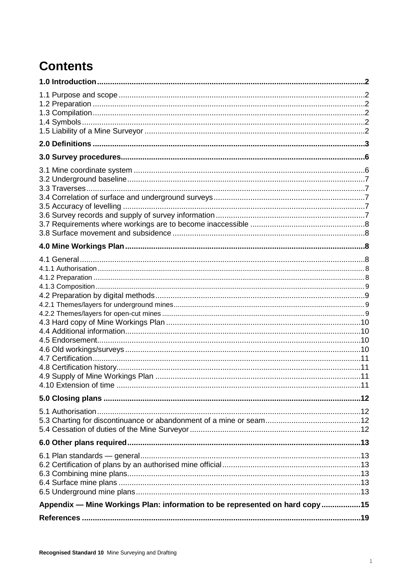# **Contents**

| Appendix - Mine Workings Plan: information to be represented on hard copy15 |  |
|-----------------------------------------------------------------------------|--|
|                                                                             |  |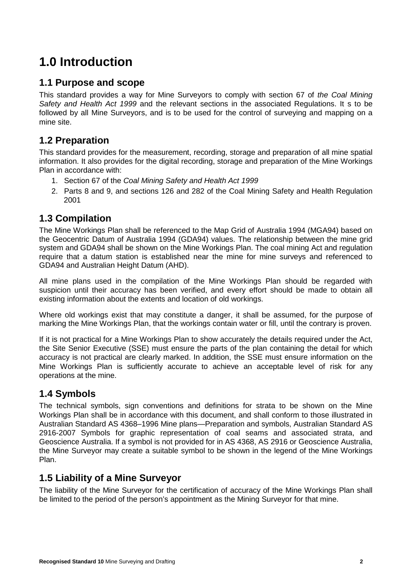# **1.0 Introduction**

# **1.1 Purpose and scope**

This standard provides a way for Mine Surveyors to comply with section 67 of *the Coal Mining Safety and Health Act 1999* and the relevant sections in the associated Regulations. It s to be followed by all Mine Surveyors, and is to be used for the control of surveying and mapping on a mine site.

# **1.2 Preparation**

This standard provides for the measurement, recording, storage and preparation of all mine spatial information. It also provides for the digital recording, storage and preparation of the Mine Workings Plan in accordance with:

- 1. Section 67 of the *Coal Mining Safety and Health Act 1999*
- 2. Parts 8 and 9, and sections 126 and 282 of the Coal Mining Safety and Health Regulation 2001

# **1.3 Compilation**

The Mine Workings Plan shall be referenced to the Map Grid of Australia 1994 (MGA94) based on the Geocentric Datum of Australia 1994 (GDA94) values. The relationship between the mine grid system and GDA94 shall be shown on the Mine Workings Plan. The coal mining Act and regulation require that a datum station is established near the mine for mine surveys and referenced to GDA94 and Australian Height Datum (AHD).

All mine plans used in the compilation of the Mine Workings Plan should be regarded with suspicion until their accuracy has been verified, and every effort should be made to obtain all existing information about the extents and location of old workings.

Where old workings exist that may constitute a danger, it shall be assumed, for the purpose of marking the Mine Workings Plan, that the workings contain water or fill, until the contrary is proven.

If it is not practical for a Mine Workings Plan to show accurately the details required under the Act, the Site Senior Executive (SSE) must ensure the parts of the plan containing the detail for which accuracy is not practical are clearly marked. In addition, the SSE must ensure information on the Mine Workings Plan is sufficiently accurate to achieve an acceptable level of risk for any operations at the mine.

# **1.4 Symbols**

The technical symbols, sign conventions and definitions for strata to be shown on the Mine Workings Plan shall be in accordance with this document, and shall conform to those illustrated in Australian Standard [AS 4368–1996 Mine plans—Preparation and symbols,](http://www.saiglobal.com/online/Script/Details.asp?DocN=stds000014615) Australian Standard [AS](http://www.saiglobal.com/online/Script/Details.asp?DocN=AS0733780555AT)  [2916-2007 Symbols for graphic representation of coal seams and associated strata,](http://www.saiglobal.com/online/Script/Details.asp?DocN=AS0733780555AT) and Geoscience Australia. If a symbol is not provided for in AS 4368, AS 2916 or Geoscience Australia, the Mine Surveyor may create a suitable symbol to be shown in the legend of the Mine Workings Plan.

# **1.5 Liability of a Mine Surveyor**

The liability of the Mine Surveyor for the certification of accuracy of the Mine Workings Plan shall be limited to the period of the person's appointment as the Mining Surveyor for that mine.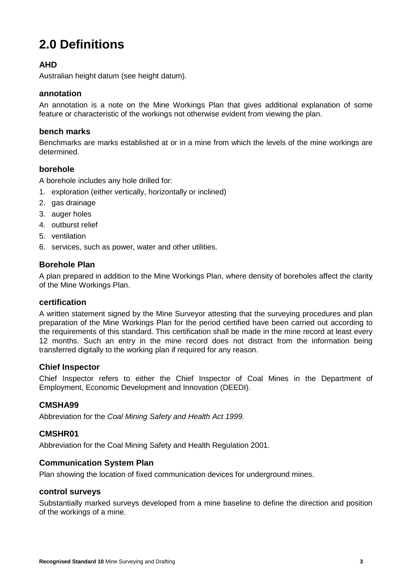# **2.0 Definitions**

# **AHD**

Australian height datum (see height datum).

### **annotation**

An annotation is a note on the Mine Workings Plan that gives additional explanation of some feature or characteristic of the workings not otherwise evident from viewing the plan.

### **bench marks**

Benchmarks are marks established at or in a mine from which the levels of the mine workings are determined.

### **borehole**

A borehole includes any hole drilled for:

- 1. exploration (either vertically, horizontally or inclined)
- 2. gas drainage
- 3. auger holes
- 4. outburst relief
- 5. ventilation
- 6. services, such as power, water and other utilities.

## **Borehole Plan**

A plan prepared in addition to the Mine Workings Plan, where density of boreholes affect the clarity of the Mine Workings Plan.

### **certification**

A written statement signed by the Mine Surveyor attesting that the surveying procedures and plan preparation of the Mine Workings Plan for the period certified have been carried out according to the requirements of this standard. This certification shall be made in the mine record at least every 12 months. Such an entry in the mine record does not distract from the information being transferred digitally to the working plan if required for any reason.

### **Chief Inspector**

Chief Inspector refers to either the Chief Inspector of Coal Mines in the Department of Employment, Economic Development and Innovation (DEEDI).

## **CMSHA99**

Abbreviation for the *Coal Mining Safety and Health Act 1999.*

### **CMSHR01**

Abbreviation for the Coal Mining Safety and Health Regulation 2001.

## **Communication System Plan**

Plan showing the location of fixed communication devices for underground mines.

### **control surveys**

Substantially marked surveys developed from a mine baseline to define the direction and position of the workings of a mine.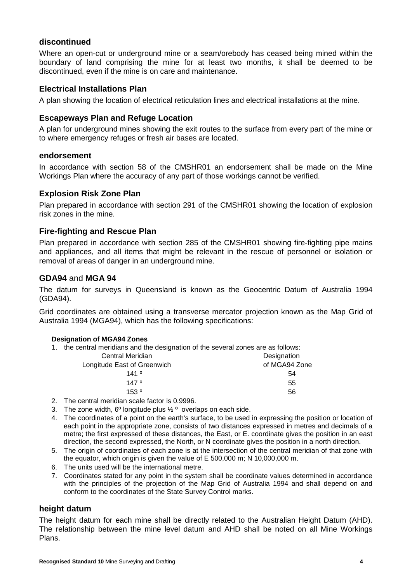### **discontinued**

Where an open-cut or underground mine or a seam/orebody has ceased being mined within the boundary of land comprising the mine for at least two months, it shall be deemed to be discontinued, even if the mine is on care and maintenance.

### **Electrical Installations Plan**

A plan showing the location of electrical reticulation lines and electrical installations at the mine.

### **Escapeways Plan and Refuge Location**

A plan for underground mines showing the exit routes to the surface from every part of the mine or to where emergency refuges or fresh air bases are located.

#### **endorsement**

In accordance with section 58 of the CMSHR01 an endorsement shall be made on the Mine Workings Plan where the accuracy of any part of those workings cannot be verified.

### **Explosion Risk Zone Plan**

Plan prepared in accordance with section 291 of the CMSHR01 showing the location of explosion risk zones in the mine.

### **Fire-fighting and Rescue Plan**

Plan prepared in accordance with section 285 of the CMSHR01 showing fire-fighting pipe mains and appliances, and all items that might be relevant in the rescue of personnel or isolation or removal of areas of danger in an underground mine.

### **GDA94** and **MGA 94**

The datum for surveys in Queensland is known as the Geocentric Datum of Australia 1994 (GDA94).

Grid coordinates are obtained using a transverse mercator projection known as the Map Grid of Australia 1994 (MGA94), which has the following specifications:

#### **Designation of MGA94 Zones**

1. the central meridians and the designation of the several zones are as follows:

| Central Meridian            | Designation   |
|-----------------------------|---------------|
| Longitude East of Greenwich | of MGA94 Zone |
| 141°                        | 54            |
| 147°                        | 55            |
| 153°                        | 56            |

- 2. The central meridian scale factor is 0.9996.
- 3. The zone width,  $6^{\circ}$  longitude plus  $\frac{1}{2}^{\circ}$  overlaps on each side.
- 4. The coordinates of a point on the earth's surface, to be used in expressing the position or location of each point in the appropriate zone, consists of two distances expressed in metres and decimals of a metre; the first expressed of these distances, the East, or E. coordinate gives the position in an east direction, the second expressed, the North, or N coordinate gives the position in a north direction.
- 5. The origin of coordinates of each zone is at the intersection of the central meridian of that zone with the equator, which origin is given the value of E 500,000 m; N 10,000,000 m.
- 6. The units used will be the international metre.
- 7. Coordinates stated for any point in the system shall be coordinate values determined in accordance with the principles of the projection of the Map Grid of Australia 1994 and shall depend on and conform to the coordinates of the State Survey Control marks.

### **height datum**

The height datum for each mine shall be directly related to the Australian Height Datum (AHD). The relationship between the mine level datum and AHD shall be noted on all Mine Workings Plans.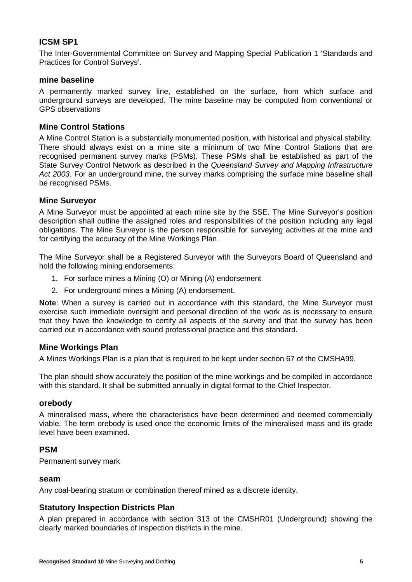### **ICSM SP1**

The Inter-Governmental Committee on Survey and Mapping Special Publication 1 'Standards and Practices for Control Surveys'.

### **mine baseline**

A permanently marked survey line, established on the surface, from which surface and underground surveys are developed. The mine baseline may be computed from conventional or GPS observations

### **Mine Control Stations**

A Mine Control Station is a substantially monumented position, with historical and physical stability. There should always exist on a mine site a minimum of two Mine Control Stations that are recognised permanent survey marks (PSMs). These PSMs shall be established as part of the State Survey Control Network as described in the *Queensland Survey and Mapping Infrastructure Act 2003*. For an underground mine, the survey marks comprising the surface mine baseline shall be recognised PSMs.

### **Mine Surveyor**

A Mine Surveyor must be appointed at each mine site by the SSE. The Mine Surveyor's position description shall outline the assigned roles and responsibilities of the position including any legal obligations. The Mine Surveyor is the person responsible for surveying activities at the mine and for certifying the accuracy of the Mine Workings Plan.

The Mine Surveyor shall be a Registered Surveyor with the Surveyors Board of Queensland and hold the following mining endorsements:

- 1. For surface mines a Mining (O) or Mining (A) endorsement
- 2. For underground mines a Mining (A) endorsement.

**Note**: When a survey is carried out in accordance with this standard, the Mine Surveyor must exercise such immediate oversight and personal direction of the work as is necessary to ensure that they have the knowledge to certify all aspects of the survey and that the survey has been carried out in accordance with sound professional practice and this standard.

### **Mine Workings Plan**

A Mines Workings Plan is a plan that is required to be kept under section 67 of the CMSHA99.

The plan should show accurately the position of the mine workings and be compiled in accordance with this standard. It shall be submitted annually in digital format to the Chief Inspector.

### **orebody**

A mineralised mass, where the characteristics have been determined and deemed commercially viable. The term orebody is used once the economic limits of the mineralised mass and its grade level have been examined.

### **PSM**

Permanent survey mark

#### **seam**

Any coal-bearing stratum or combination thereof mined as a discrete identity.

### **Statutory Inspection Districts Plan**

A plan prepared in accordance with section 313 of the CMSHR01 (Underground) showing the clearly marked boundaries of inspection districts in the mine.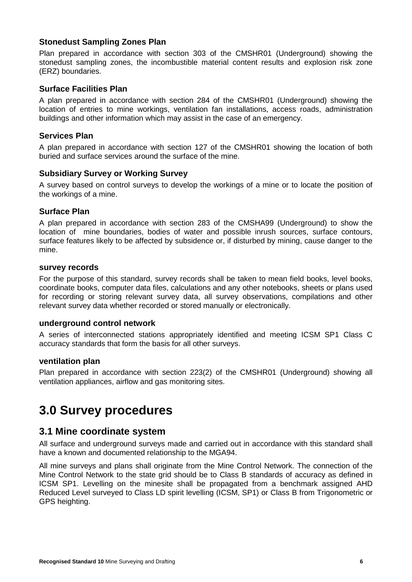### **Stonedust Sampling Zones Plan**

Plan prepared in accordance with section 303 of the CMSHR01 (Underground) showing the stonedust sampling zones, the incombustible material content results and explosion risk zone (ERZ) boundaries.

### **Surface Facilities Plan**

A plan prepared in accordance with section 284 of the CMSHR01 (Underground) showing the location of entries to mine workings, ventilation fan installations, access roads, administration buildings and other information which may assist in the case of an emergency.

### **Services Plan**

A plan prepared in accordance with section 127 of the CMSHR01 showing the location of both buried and surface services around the surface of the mine.

### **Subsidiary Survey or Working Survey**

A survey based on control surveys to develop the workings of a mine or to locate the position of the workings of a mine.

### **Surface Plan**

A plan prepared in accordance with section 283 of the CMSHA99 (Underground) to show the location of mine boundaries, bodies of water and possible inrush sources, surface contours, surface features likely to be affected by subsidence or, if disturbed by mining, cause danger to the mine.

#### **survey records**

For the purpose of this standard, survey records shall be taken to mean field books, level books, coordinate books, computer data files, calculations and any other notebooks, sheets or plans used for recording or storing relevant survey data, all survey observations, compilations and other relevant survey data whether recorded or stored manually or electronically.

### **underground control network**

A series of interconnected stations appropriately identified and meeting ICSM SP1 Class C accuracy standards that form the basis for all other surveys.

### **ventilation plan**

Plan prepared in accordance with section 223(2) of the CMSHR01 (Underground) showing all ventilation appliances, airflow and gas monitoring sites.

# **3.0 Survey procedures**

# **3.1 Mine coordinate system**

All surface and underground surveys made and carried out in accordance with this standard shall have a known and documented relationship to the MGA94.

All mine surveys and plans shall originate from the Mine Control Network. The connection of the Mine Control Network to the state grid should be to Class B standards of accuracy as defined in ICSM SP1. Levelling on the minesite shall be propagated from a benchmark assigned AHD Reduced Level surveyed to Class LD spirit levelling (ICSM, SP1) or Class B from Trigonometric or GPS heighting.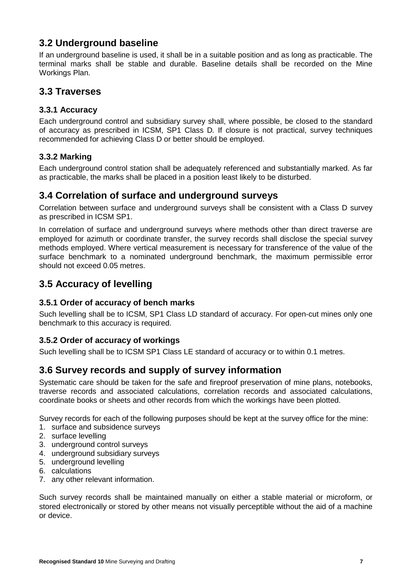# **3.2 Underground baseline**

If an underground baseline is used, it shall be in a suitable position and as long as practicable. The terminal marks shall be stable and durable. Baseline details shall be recorded on the Mine Workings Plan.

# **3.3 Traverses**

## **3.3.1 Accuracy**

Each underground control and subsidiary survey shall, where possible, be closed to the standard of accuracy as prescribed in ICSM, SP1 Class D*.* If closure is not practical, survey techniques recommended for achieving Class D or better should be employed.

## **3.3.2 Marking**

Each underground control station shall be adequately referenced and substantially marked. As far as practicable, the marks shall be placed in a position least likely to be disturbed.

# **3.4 Correlation of surface and underground surveys**

Correlation between surface and underground surveys shall be consistent with a Class D survey as prescribed in ICSM SP1.

In correlation of surface and underground surveys where methods other than direct traverse are employed for azimuth or coordinate transfer, the survey records shall disclose the special survey methods employed. Where vertical measurement is necessary for transference of the value of the surface benchmark to a nominated underground benchmark, the maximum permissible error should not exceed 0.05 metres.

# **3.5 Accuracy of levelling**

## **3.5.1 Order of accuracy of bench marks**

Such levelling shall be to ICSM, SP1 Class LD standard of accuracy. For open-cut mines only one benchmark to this accuracy is required.

## **3.5.2 Order of accuracy of workings**

Such levelling shall be to ICSM SP1 Class LE standard of accuracy or to within 0.1 metres.

# **3.6 Survey records and supply of survey information**

Systematic care should be taken for the safe and fireproof preservation of mine plans, notebooks, traverse records and associated calculations, correlation records and associated calculations, coordinate books or sheets and other records from which the workings have been plotted.

Survey records for each of the following purposes should be kept at the survey office for the mine:

- 1. surface and subsidence surveys
- 2. surface levelling
- 3. underground control surveys
- 4. underground subsidiary surveys
- 5. underground levelling
- 6. calculations
- 7. any other relevant information.

Such survey records shall be maintained manually on either a stable material or microform, or stored electronically or stored by other means not visually perceptible without the aid of a machine or device.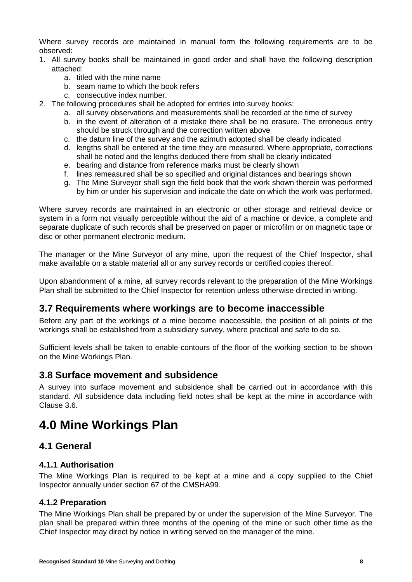Where survey records are maintained in manual form the following requirements are to be observed:

- 1. All survey books shall be maintained in good order and shall have the following description attached:
	- a. titled with the mine name
	- b. seam name to which the book refers
	- c. consecutive index number.
- 2. The following procedures shall be adopted for entries into survey books:
	- a. all survey observations and measurements shall be recorded at the time of survey
	- b. in the event of alteration of a mistake there shall be no erasure. The erroneous entry should be struck through and the correction written above
	- c. the datum line of the survey and the azimuth adopted shall be clearly indicated
	- d. lengths shall be entered at the time they are measured. Where appropriate*,* corrections shall be noted and the lengths deduced there from shall be clearly indicated
	- e. bearing and distance from reference marks must be clearly shown
	- f. lines remeasured shall be so specified and original distances and bearings shown
	- g. The Mine Surveyor shall sign the field book that the work shown therein was performed by him or under his supervision and indicate the date on which the work was performed.

Where survey records are maintained in an electronic or other storage and retrieval device or system in a form not visually perceptible without the aid of a machine or device, a complete and separate duplicate of such records shall be preserved on paper or microfilm or on magnetic tape or disc or other permanent electronic medium.

The manager or the Mine Surveyor of any mine, upon the request of the Chief Inspector, shall make available on a stable material all or any survey records or certified copies thereof.

Upon abandonment of a mine, all survey records relevant to the preparation of the Mine Workings Plan shall be submitted to the Chief Inspector for retention unless otherwise directed in writing.

# **3.7 Requirements where workings are to become inaccessible**

Before any part of the workings of a mine become inaccessible, the position of all points of the workings shall be established from a subsidiary survey, where practical and safe to do so.

Sufficient levels shall be taken to enable contours of the floor of the working section to be shown on the Mine Workings Plan.

# **3.8 Surface movement and subsidence**

A survey into surface movement and subsidence shall be carried out in accordance with this standard. All subsidence data including field notes shall be kept at the mine in accordance with Clause 3.6.

# **4.0 Mine Workings Plan**

# **4.1 General**

### **4.1.1 Authorisation**

The Mine Workings Plan is required to be kept at a mine and a copy supplied to the Chief Inspector annually under section 67 of the CMSHA99.

## **4.1.2 Preparation**

The Mine Workings Plan shall be prepared by or under the supervision of the Mine Surveyor. The plan shall be prepared within three months of the opening of the mine or such other time as the Chief Inspector may direct by notice in writing served on the manager of the mine.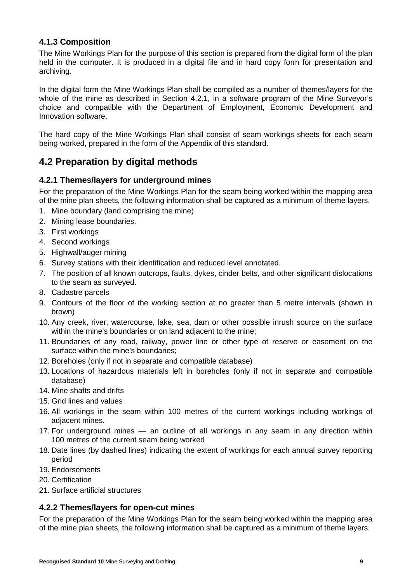## **4.1.3 Composition**

The Mine Workings Plan for the purpose of this section is prepared from the digital form of the plan held in the computer. It is produced in a digital file and in hard copy form for presentation and archiving.

In the digital form the Mine Workings Plan shall be compiled as a number of themes/layers for the whole of the mine as described in Section 4.2.1, in a software program of the Mine Surveyor's choice and compatible with the Department of Employment, Economic Development and Innovation software.

The hard copy of the Mine Workings Plan shall consist of seam workings sheets for each seam being worked, prepared in the form of the Appendix of this standard.

# **4.2 Preparation by digital methods**

## **4.2.1 Themes/layers for underground mines**

For the preparation of the Mine Workings Plan for the seam being worked within the mapping area of the mine plan sheets, the following information shall be captured as a minimum of theme layers.

- 1. Mine boundary (land comprising the mine)
- 2. Mining lease boundaries.
- 3. First workings
- 4. Second workings
- 5. Highwall/auger mining
- 6. Survey stations with their identification and reduced level annotated.
- 7. The position of all known outcrops, faults, dykes, cinder belts, and other significant dislocations to the seam as surveyed.
- 8. Cadastre parcels
- 9. Contours of the floor of the working section at no greater than 5 metre intervals (shown in brown)
- 10. Any creek, river, watercourse, lake, sea, dam or other possible inrush source on the surface within the mine's boundaries or on land adjacent to the mine;
- 11. Boundaries of any road, railway, power line or other type of reserve or easement on the surface within the mine's boundaries;
- 12. Boreholes (only if not in separate and compatible database)
- 13. Locations of hazardous materials left in boreholes (only if not in separate and compatible database)
- 14. Mine shafts and drifts
- 15. Grid lines and values
- 16. All workings in the seam within 100 metres of the current workings including workings of adjacent mines.
- 17. For underground mines an outline of all workings in any seam in any direction within 100 metres of the current seam being worked
- 18. Date lines (by dashed lines) indicating the extent of workings for each annual survey reporting period
- 19. Endorsements
- 20. Certification
- 21. Surface artificial structures

## **4.2.2 Themes/layers for open-cut mines**

For the preparation of the Mine Workings Plan for the seam being worked within the mapping area of the mine plan sheets, the following information shall be captured as a minimum of theme layers.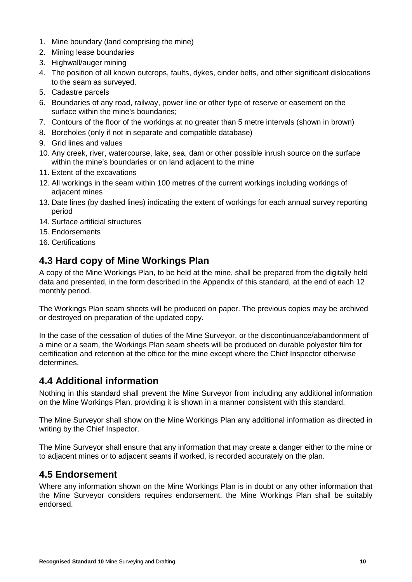- 1. Mine boundary (land comprising the mine)
- 2. Mining lease boundaries
- 3. Highwall/auger mining
- 4. The position of all known outcrops, faults, dykes, cinder belts, and other significant dislocations to the seam as surveyed.
- 5. Cadastre parcels
- 6. Boundaries of any road, railway, power line or other type of reserve or easement on the surface within the mine's boundaries;
- 7. Contours of the floor of the workings at no greater than 5 metre intervals (shown in brown)
- 8. Boreholes (only if not in separate and compatible database)
- 9. Grid lines and values
- 10. Any creek, river, watercourse, lake, sea, dam or other possible inrush source on the surface within the mine's boundaries or on land adjacent to the mine
- 11. Extent of the excavations
- 12. All workings in the seam within 100 metres of the current workings including workings of adjacent mines
- 13. Date lines (by dashed lines) indicating the extent of workings for each annual survey reporting period
- 14. Surface artificial structures
- 15. Endorsements
- 16. Certifications

# **4.3 Hard copy of Mine Workings Plan**

A copy of the Mine Workings Plan, to be held at the mine, shall be prepared from the digitally held data and presented, in the form described in the Appendix of this standard, at the end of each 12 monthly period.

The Workings Plan seam sheets will be produced on paper. The previous copies may be archived or destroyed on preparation of the updated copy.

In the case of the cessation of duties of the Mine Surveyor, or the discontinuance/abandonment of a mine or a seam, the Workings Plan seam sheets will be produced on durable polyester film for certification and retention at the office for the mine except where the Chief Inspector otherwise determines.

# **4.4 Additional information**

Nothing in this standard shall prevent the Mine Surveyor from including any additional information on the Mine Workings Plan, providing it is shown in a manner consistent with this standard.

The Mine Surveyor shall show on the Mine Workings Plan any additional information as directed in writing by the Chief Inspector.

The Mine Surveyor shall ensure that any information that may create a danger either to the mine or to adjacent mines or to adjacent seams if worked, is recorded accurately on the plan.

# **4.5 Endorsement**

Where any information shown on the Mine Workings Plan is in doubt or any other information that the Mine Surveyor considers requires endorsement, the Mine Workings Plan shall be suitably endorsed.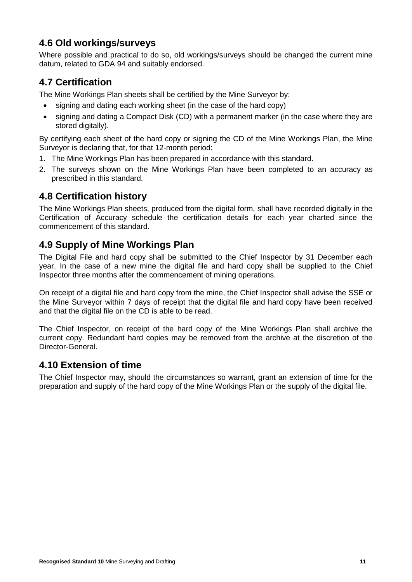# **4.6 Old workings/surveys**

Where possible and practical to do so, old workings/surveys should be changed the current mine datum, related to GDA 94 and suitably endorsed.

# **4.7 Certification**

The Mine Workings Plan sheets shall be certified by the Mine Surveyor by:

- signing and dating each working sheet (in the case of the hard copy)
- signing and dating a Compact Disk (CD) with a permanent marker (in the case where they are stored digitally).

By certifying each sheet of the hard copy or signing the CD of the Mine Workings Plan, the Mine Surveyor is declaring that, for that 12-month period:

- 1. The Mine Workings Plan has been prepared in accordance with this standard.
- 2. The surveys shown on the Mine Workings Plan have been completed to an accuracy as prescribed in this standard.

# **4.8 Certification history**

The Mine Workings Plan sheets, produced from the digital form, shall have recorded digitally in the Certification of Accuracy schedule the certification details for each year charted since the commencement of this standard.

# **4.9 Supply of Mine Workings Plan**

The Digital File and hard copy shall be submitted to the Chief Inspector by 31 December each year. In the case of a new mine the digital file and hard copy shall be supplied to the Chief Inspector three months after the commencement of mining operations.

On receipt of a digital file and hard copy from the mine, the Chief Inspector shall advise the SSE or the Mine Surveyor within 7 days of receipt that the digital file and hard copy have been received and that the digital file on the CD is able to be read.

The Chief Inspector, on receipt of the hard copy of the Mine Workings Plan shall archive the current copy. Redundant hard copies may be removed from the archive at the discretion of the Director-General.

# **4.10 Extension of time**

The Chief Inspector may, should the circumstances so warrant, grant an extension of time for the preparation and supply of the hard copy of the Mine Workings Plan or the supply of the digital file.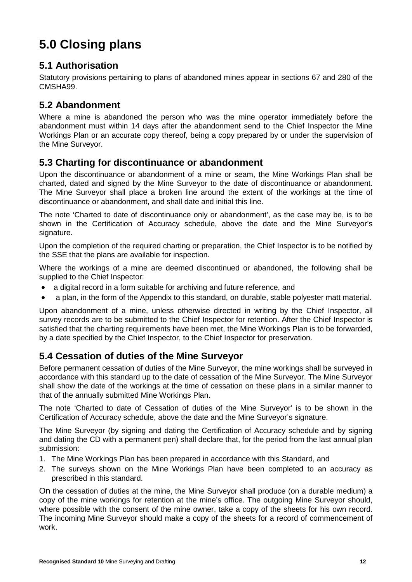# **5.0 Closing plans**

# **5.1 Authorisation**

Statutory provisions pertaining to plans of abandoned mines appear in sections 67 and 280 of the CMSHA99.

# **5.2 Abandonment**

Where a mine is abandoned the person who was the mine operator immediately before the abandonment must within 14 days after the abandonment send to the Chief Inspector the Mine Workings Plan or an accurate copy thereof, being a copy prepared by or under the supervision of the Mine Surveyor.

# **5.3 Charting for discontinuance or abandonment**

Upon the discontinuance or abandonment of a mine or seam, the Mine Workings Plan shall be charted, dated and signed by the Mine Surveyor to the date of discontinuance or abandonment. The Mine Surveyor shall place a broken line around the extent of the workings at the time of discontinuance or abandonment, and shall date and initial this line.

The note 'Charted to date of discontinuance only or abandonment', as the case may be, is to be shown in the Certification of Accuracy schedule, above the date and the Mine Surveyor's signature.

Upon the completion of the required charting or preparation, the Chief Inspector is to be notified by the SSE that the plans are available for inspection.

Where the workings of a mine are deemed discontinued or abandoned, the following shall be supplied to the Chief Inspector:

- a digital record in a form suitable for archiving and future reference, and
- a plan, in the form of the Appendix to this standard, on durable, stable polyester matt material.

Upon abandonment of a mine, unless otherwise directed in writing by the Chief Inspector, all survey records are to be submitted to the Chief Inspector for retention. After the Chief Inspector is satisfied that the charting requirements have been met, the Mine Workings Plan is to be forwarded, by a date specified by the Chief Inspector, to the Chief Inspector for preservation.

# **5.4 Cessation of duties of the Mine Surveyor**

Before permanent cessation of duties of the Mine Surveyor, the mine workings shall be surveyed in accordance with this standard up to the date of cessation of the Mine Surveyor. The Mine Surveyor shall show the date of the workings at the time of cessation on these plans in a similar manner to that of the annually submitted Mine Workings Plan.

The note 'Charted to date of Cessation of duties of the Mine Surveyor' is to be shown in the Certification of Accuracy schedule, above the date and the Mine Surveyor's signature.

The Mine Surveyor (by signing and dating the Certification of Accuracy schedule and by signing and dating the CD with a permanent pen) shall declare that, for the period from the last annual plan submission:

- 1. The Mine Workings Plan has been prepared in accordance with this Standard, and
- 2. The surveys shown on the Mine Workings Plan have been completed to an accuracy as prescribed in this standard.

On the cessation of duties at the mine, the Mine Surveyor shall produce (on a durable medium) a copy of the mine workings for retention at the mine's office. The outgoing Mine Surveyor should, where possible with the consent of the mine owner, take a copy of the sheets for his own record. The incoming Mine Surveyor should make a copy of the sheets for a record of commencement of work.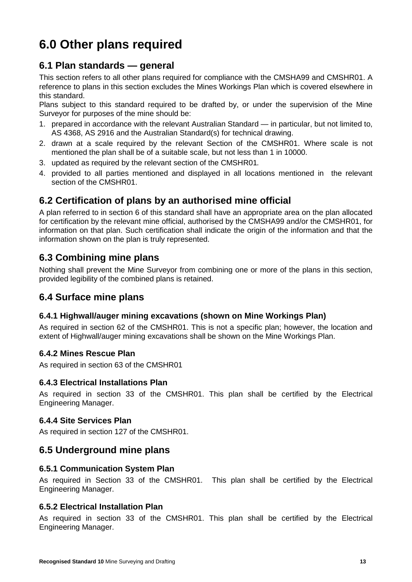# **6.0 Other plans required**

# **6.1 Plan standards — general**

This section refers to all other plans required for compliance with the CMSHA99 and CMSHR01. A reference to plans in this section excludes the Mines Workings Plan which is covered elsewhere in this standard.

Plans subject to this standard required to be drafted by, or under the supervision of the Mine Surveyor for purposes of the mine should be:

- 1. prepared in accordance with the relevant Australian Standard in particular, but not limited to, AS 4368, AS 2916 and the Australian Standard(s) for technical drawing.
- 2. drawn at a scale required by the relevant Section of the CMSHR01. Where scale is not mentioned the plan shall be of a suitable scale, but not less than 1 in 10000.
- 3. updated as required by the relevant section of the CMSHR01*.*
- 4. provided to all parties mentioned and displayed in all locations mentioned in the relevant section of the CMSHR01.

# **6.2 Certification of plans by an authorised mine official**

A plan referred to in section 6 of this standard shall have an appropriate area on the plan allocated for certification by the relevant mine official, authorised by the CMSHA99 and/or the CMSHR01, for information on that plan. Such certification shall indicate the origin of the information and that the information shown on the plan is truly represented.

# **6.3 Combining mine plans**

Nothing shall prevent the Mine Surveyor from combining one or more of the plans in this section, provided legibility of the combined plans is retained.

# **6.4 Surface mine plans**

## **6.4.1 Highwall/auger mining excavations (shown on Mine Workings Plan)**

As required in section 62 of the CMSHR01. This is not a specific plan; however, the location and extent of Highwall/auger mining excavations shall be shown on the Mine Workings Plan.

## **6.4.2 Mines Rescue Plan**

As required in section 63 of the CMSHR01

## **6.4.3 Electrical Installations Plan**

As required in section 33 of the CMSHR01. This plan shall be certified by the Electrical Engineering Manager.

## **6.4.4 Site Services Plan**

As required in section 127 of the CMSHR01.

# **6.5 Underground mine plans**

### **6.5.1 Communication System Plan**

As required in Section 33 of the CMSHR01. This plan shall be certified by the Electrical Engineering Manager.

## **6.5.2 Electrical Installation Plan**

As required in section 33 of the CMSHR01. This plan shall be certified by the Electrical Engineering Manager.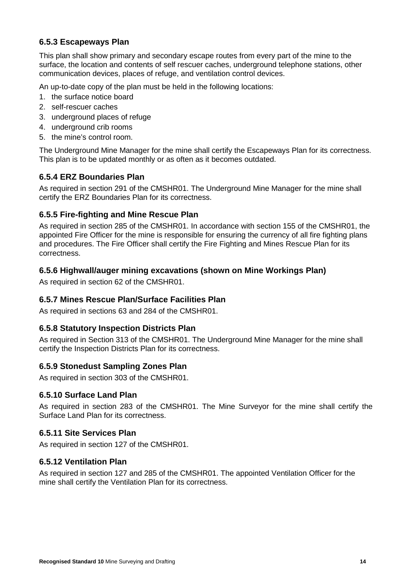## **6.5.3 Escapeways Plan**

This plan shall show primary and secondary escape routes from every part of the mine to the surface, the location and contents of self rescuer caches, underground telephone stations, other communication devices, places of refuge, and ventilation control devices.

An up-to-date copy of the plan must be held in the following locations:

- 1. the surface notice board
- 2. self-rescuer caches
- 3. underground places of refuge
- 4. underground crib rooms
- 5. the mine's control room.

The Underground Mine Manager for the mine shall certify the Escapeways Plan for its correctness. This plan is to be updated monthly or as often as it becomes outdated.

## **6.5.4 ERZ Boundaries Plan**

As required in section 291 of the CMSHR01. The Underground Mine Manager for the mine shall certify the ERZ Boundaries Plan for its correctness.

## **6.5.5 Fire-fighting and Mine Rescue Plan**

As required in section 285 of the CMSHR01. In accordance with section 155 of the CMSHR01, the appointed Fire Officer for the mine is responsible for ensuring the currency of all fire fighting plans and procedures. The Fire Officer shall certify the Fire Fighting and Mines Rescue Plan for its correctness.

### **6.5.6 Highwall/auger mining excavations (shown on Mine Workings Plan)**

As required in section 62 of the CMSHR01.

### **6.5.7 Mines Rescue Plan/Surface Facilities Plan**

As required in sections 63 and 284 of the CMSHR01.

### **6.5.8 Statutory Inspection Districts Plan**

As required in Section 313 of the CMSHR01. The Underground Mine Manager for the mine shall certify the Inspection Districts Plan for its correctness.

### **6.5.9 Stonedust Sampling Zones Plan**

As required in section 303 of the CMSHR01.

### **6.5.10 Surface Land Plan**

As required in section 283 of the CMSHR01. The Mine Surveyor for the mine shall certify the Surface Land Plan for its correctness.

### **6.5.11 Site Services Plan**

As required in section 127 of the CMSHR01.

### **6.5.12 Ventilation Plan**

As required in section 127 and 285 of the CMSHR01. The appointed Ventilation Officer for the mine shall certify the Ventilation Plan for its correctness.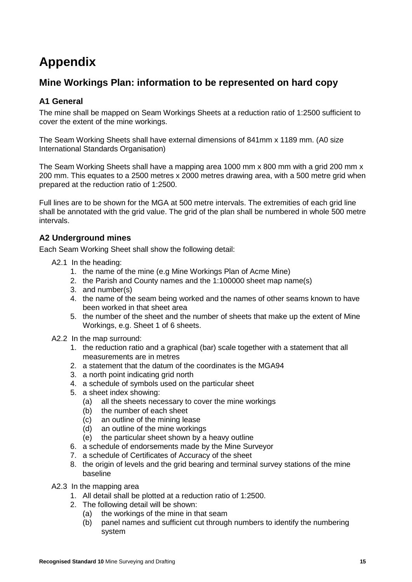# **Appendix**

# **Mine Workings Plan: information to be represented on hard copy**

## **A1 General**

The mine shall be mapped on Seam Workings Sheets at a reduction ratio of 1:2500 sufficient to cover the extent of the mine workings.

The Seam Working Sheets shall have external dimensions of 841mm x 1189 mm. (A0 size International Standards Organisation)

The Seam Working Sheets shall have a mapping area 1000 mm x 800 mm with a grid 200 mm x 200 mm. This equates to a 2500 metres x 2000 metres drawing area, with a 500 metre grid when prepared at the reduction ratio of 1:2500.

Full lines are to be shown for the MGA at 500 metre intervals. The extremities of each grid line shall be annotated with the grid value. The grid of the plan shall be numbered in whole 500 metre intervals.

## **A2 Underground mines**

Each Seam Working Sheet shall show the following detail:

- A2.1 In the heading:
	- 1. the name of the mine (e.g Mine Workings Plan of Acme Mine)
	- 2. the Parish and County names and the 1:100000 sheet map name(s)
	- 3. and number(s)
	- 4. the name of the seam being worked and the names of other seams known to have been worked in that sheet area
	- 5. the number of the sheet and the number of sheets that make up the extent of Mine Workings, e.g. Sheet 1 of 6 sheets.
- A2.2 In the map surround:
	- 1. the reduction ratio and a graphical (bar) scale together with a statement that all measurements are in metres
	- 2. a statement that the datum of the coordinates is the MGA94
	- 3. a north point indicating grid north
	- 4. a schedule of symbols used on the particular sheet
	- 5. a sheet index showing:
		- (a) all the sheets necessary to cover the mine workings
		- (b) the number of each sheet
		- (c) an outline of the mining lease
		- (d) an outline of the mine workings
		- (e) the particular sheet shown by a heavy outline
	- 6. a schedule of endorsements made by the Mine Surveyor
	- 7. a schedule of Certificates of Accuracy of the sheet
	- 8. the origin of levels and the grid bearing and terminal survey stations of the mine baseline
- A2.3 In the mapping area
	- 1. All detail shall be plotted at a reduction ratio of 1:2500.
	- 2. The following detail will be shown:
		- (a) the workings of the mine in that seam
		- (b) panel names and sufficient cut through numbers to identify the numbering system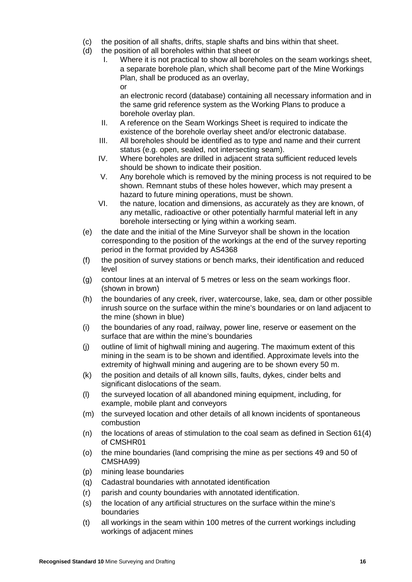- (c) the position of all shafts, drifts, staple shafts and bins within that sheet.
- (d) the position of all boreholes within that sheet or
	- I. Where it is not practical to show all boreholes on the seam workings sheet, a separate borehole plan, which shall become part of the Mine Workings Plan, shall be produced as an overlay, or

an electronic record (database) containing all necessary information and in the same grid reference system as the Working Plans to produce a borehole overlay plan.

- II. A reference on the Seam Workings Sheet is required to indicate the existence of the borehole overlay sheet and/or electronic database.
- III. All boreholes should be identified as to type and name and their current status (e.g. open, sealed, not intersecting seam).
- IV. Where boreholes are drilled in adjacent strata sufficient reduced levels should be shown to indicate their position.
- V. Any borehole which is removed by the mining process is not required to be shown. Remnant stubs of these holes however, which may present a hazard to future mining operations, must be shown.
- VI. the nature, location and dimensions, as accurately as they are known, of any metallic, radioactive or other potentially harmful material left in any borehole intersecting or lying within a working seam.
- (e) the date and the initial of the Mine Surveyor shall be shown in the location corresponding to the position of the workings at the end of the survey reporting period in the format provided by AS4368
- (f) the position of survey stations or bench marks, their identification and reduced level
- (g) contour lines at an interval of 5 metres or less on the seam workings floor. (shown in brown)
- (h) the boundaries of any creek, river, watercourse, lake, sea, dam or other possible inrush source on the surface within the mine's boundaries or on land adjacent to the mine (shown in blue)
- (i) the boundaries of any road, railway, power line, reserve or easement on the surface that are within the mine's boundaries
- (j) outline of limit of highwall mining and augering. The maximum extent of this mining in the seam is to be shown and identified. Approximate levels into the extremity of highwall mining and augering are to be shown every 50 m.
- (k) the position and details of all known sills, faults, dykes, cinder belts and significant dislocations of the seam.
- (l) the surveyed location of all abandoned mining equipment, including, for example, mobile plant and conveyors
- (m) the surveyed location and other details of all known incidents of spontaneous combustion
- (n) the locations of areas of stimulation to the coal seam as defined in Section 61(4) of CMSHR01
- (o) the mine boundaries (land comprising the mine as per sections 49 and 50 of CMSHA99)
- (p) mining lease boundaries
- (q) Cadastral boundaries with annotated identification
- (r) parish and county boundaries with annotated identification.
- (s) the location of any artificial structures on the surface within the mine's boundaries
- (t) all workings in the seam within 100 metres of the current workings including workings of adjacent mines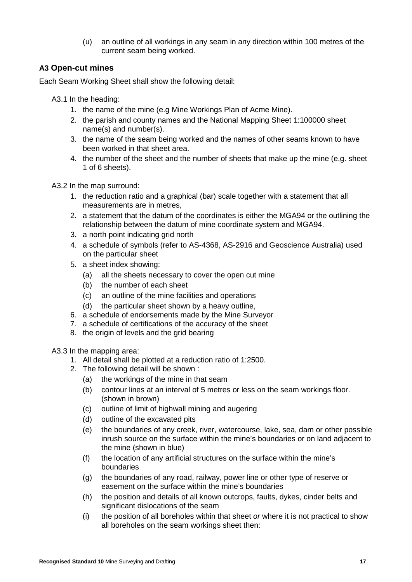(u) an outline of all workings in any seam in any direction within 100 metres of the current seam being worked.

## **A3 Open-cut mines**

Each Seam Working Sheet shall show the following detail:

A3.1 In the heading:

- 1. the name of the mine (e.g Mine Workings Plan of Acme Mine).
- 2. the parish and county names and the National Mapping Sheet 1:100000 sheet name(s) and number(s).
- 3. the name of the seam being worked and the names of other seams known to have been worked in that sheet area.
- 4. the number of the sheet and the number of sheets that make up the mine (e.g. sheet 1 of 6 sheets).

A3.2 In the map surround:

- 1. the reduction ratio and a graphical (bar) scale together with a statement that all measurements are in metres,
- 2. a statement that the datum of the coordinates is either the MGA94 or the outlining the relationship between the datum of mine coordinate system and MGA94.
- 3. a north point indicating grid north
- 4. a schedule of symbols (refer to AS-4368, AS-2916 and Geoscience Australia) used on the particular sheet
- 5. a sheet index showing:
	- (a) all the sheets necessary to cover the open cut mine
	- (b) the number of each sheet
	- (c) an outline of the mine facilities and operations
	- (d) the particular sheet shown by a heavy outline,
- 6. a schedule of endorsements made by the Mine Surveyor
- 7. a schedule of certifications of the accuracy of the sheet
- 8. the origin of levels and the grid bearing

A3.3 In the mapping area:

- 1. All detail shall be plotted at a reduction ratio of 1:2500.
- 2. The following detail will be shown :
	- (a) the workings of the mine in that seam
	- (b) contour lines at an interval of 5 metres or less on the seam workings floor. (shown in brown)
	- (c) outline of limit of highwall mining and augering
	- (d) outline of the excavated pits
	- (e) the boundaries of any creek, river, watercourse, lake, sea, dam or other possible inrush source on the surface within the mine's boundaries or on land adjacent to the mine (shown in blue)
	- (f) the location of any artificial structures on the surface within the mine's boundaries
	- (g) the boundaries of any road, railway, power line or other type of reserve or easement on the surface within the mine's boundaries
	- (h) the position and details of all known outcrops, faults, dykes, cinder belts and significant dislocations of the seam
	- (i) the position of all boreholes within that sheet *or* where it is not practical to show all boreholes on the seam workings sheet then: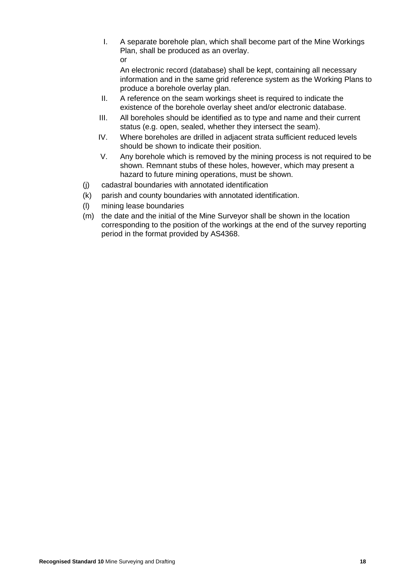I. A separate borehole plan, which shall become part of the Mine Workings Plan, shall be produced as an overlay. or

An electronic record (database) shall be kept, containing all necessary information and in the same grid reference system as the Working Plans to produce a borehole overlay plan.

- II. A reference on the seam workings sheet is required to indicate the existence of the borehole overlay sheet and/or electronic database.
- III. All boreholes should be identified as to type and name and their current status (e.g. open, sealed, whether they intersect the seam).
- IV. Where boreholes are drilled in adjacent strata sufficient reduced levels should be shown to indicate their position.
- V. Any borehole which is removed by the mining process is not required to be shown. Remnant stubs of these holes, however, which may present a hazard to future mining operations, must be shown.
- (j) cadastral boundaries with annotated identification
- (k) parish and county boundaries with annotated identification.
- (l) mining lease boundaries
- (m) the date and the initial of the Mine Surveyor shall be shown in the location corresponding to the position of the workings at the end of the survey reporting period in the format provided by AS4368.